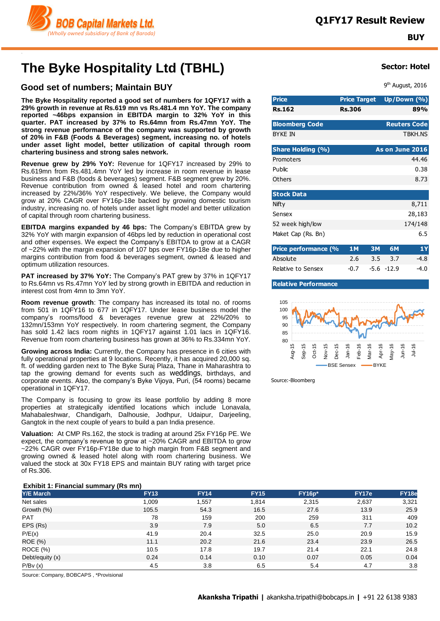

# **The Byke Hospitality Ltd (TBHL)**

### **Good set of numbers; Maintain BUY**

**The Byke Hospitality reported a good set of numbers for 1QFY17 with a 29% growth in revenue at Rs.619 mn vs Rs.481.4 mn YoY. The company reported ~46bps expansion in EBITDA margin to 32% YoY in this quarter. PAT increased by 37% to Rs.64mn from Rs.47mn YoY. The strong revenue performance of the company was supported by growth of 20% in F&B (Foods & Beverages) segment, increasing no. of hotels under asset light model, better utilization of capital through room chartering business and strong sales network.**

**Revenue grew by 29% YoY:** Revenue for 1QFY17 increased by 29% to Rs.619mn from Rs.481.4mn YoY led by increase in room revenue in lease business and F&B (foods & beverages) segment. F&B segment grew by 20%. Revenue contribution from owned & leased hotel and room chartering increased by 22%/36% YoY respectively. We believe, the Company would grow at 20% CAGR over FY16p-18e backed by growing domestic tourism industry, increasing no. of hotels under asset light model and better utilization of capital through room chartering business.

**EBITDA margins expanded by 46 bps:** The Company's EBITDA grew by 32% YoY with margin expansion of 46bps led by reduction in operational cost and other expenses. We expect the Company's EBITDA to grow at a CAGR of ~22% with the margin expansion of 107 bps over FY16p-18e due to higher margins contribution from food & beverages segment, owned & leased and optimum utilization resources.

**PAT increased by 37% YoY:** The Company's PAT grew by 37% in 1QFY17 to Rs.64mn vs Rs.47mn YoY led by strong growth in EBITDA and reduction in interest cost from 4mn to 3mn YoY.

**Room revenue growth**: The company has increased its total no. of rooms from 501 in 1QFY16 to 677 in 1QFY17. Under lease business model the company's rooms/food & beverages revenue grew at 22%/20% to 132mn/153mn YoY respectively. In room chartering segment, the Company has sold 1.42 lacs room nights in 1QFY17 against 1.01 lacs in 1QFY16. Revenue from room chartering business has grown at 36% to Rs.334mn YoY.

**Growing across India:** Currently, the Company has presence in 6 cities with fully operational properties at 9 locations. Recently, it has acquired 20,000 sq. ft. of wedding garden next to The Byke Suraj Plaza, Thane in Maharashtra to tap the growing demand for events such as weddings, birthdays, and corporate events. Also, the company's Byke Vijoya, Puri, (54 rooms) became operational in 1QFY17.

The Company is focusing to grow its lease portfolio by adding 8 more properties at strategically identified locations which include Lonavala, Mahabaleshwar, Chandigarh, Dalhousie, Jodhpur, Udaipur, Darjeeling, Gangtok in the next couple of years to build a pan India presence.

**Valuation:** At CMP Rs.162, the stock is trading at around 25x FY16p PE. We expect, the company's revenue to grow at ~20% CAGR and EBITDA to grow ~22% CAGR over FY16p-FY18e due to high margin from F&B segment and growing owned & leased hotel along with room chartering business. We valued the stock at 30x FY18 EPS and maintain BUY rating with target price of Rs.306.

### **Exhibit 1: Financial summary (Rs mn)**

| <b>Y/E March</b> | . .<br><b>FY13</b> | <b>FY14</b> | <b>FY15</b> | <b>FY16p*</b> | FY17e | FY18e |
|------------------|--------------------|-------------|-------------|---------------|-------|-------|
| Net sales        | 1,009              | 1,557       | 1,814       | 2,315         | 2,637 | 3,321 |
| Growth (%)       | 105.5              | 54.3        | 16.5        | 27.6          | 13.9  | 25.9  |
| <b>PAT</b>       | 78                 | 159         | 200         | 259           | 311   | 409   |
| EPS (Rs)         | 3.9                | 7.9         | 5.0         | 6.5           | 7.7   | 10.2  |
| P/E(x)           | 41.9               | 20.4        | 32.5        | 25.0          | 20.9  | 15.9  |
| <b>ROE</b> (%)   | 11.1               | 20.2        | 21.6        | 23.4          | 23.9  | 26.5  |
| <b>ROCE (%)</b>  | 10.5               | 17.8        | 19.7        | 21.4          | 22.1  | 24.8  |
| Debt/equity (x)  | 0.24               | 0.14        | 0.10        | 0.07          | 0.05  | 0.04  |
| P/Bv(x)          | 4.5                | 3.8         | 6.5         | 5.4           | 4.7   | 3.8   |

Source: Company, BOBCAPS , \*Provisional

### **Sector: Hotel**

9<sup>th</sup> August, 2016

| <b>Price</b>          | <b>Price Target</b> | Up/Down (%)                                 |
|-----------------------|---------------------|---------------------------------------------|
| <b>Rs.162</b>         | <b>Rs.306</b>       | 89%                                         |
| <b>Bloomberg Code</b> |                     | <b>Reuters Code</b>                         |
| <b>BYKE IN</b>        |                     | <b>TBKH.NS</b>                              |
| Share Holding (%)     |                     | As on June 2016                             |
| Promoters             |                     | 44.46                                       |
| Public                |                     | 0.38                                        |
| Others                |                     | 8.73                                        |
| <b>Stock Data</b>     |                     |                                             |
| Nifty                 |                     | 8,711                                       |
| Sensex                |                     | 28,183                                      |
| 52 week high/low      |                     | 174/148                                     |
| Maket Cap (Rs. Bn)    |                     | 6.5                                         |
| Price performance (%  | <b>1M</b>           | 1Y<br>3M<br>6M                              |
| $A = -1$              | ↑ ←                 | <u>- 1</u><br><u>ີ</u><br>$\Delta$ $\Omega$ |

| Absolute           | $2.6$ $3.5$ $3.7$ | -4.8   |
|--------------------|-------------------|--------|
| Relative to Sensex | $-0.7 -5.6 -12.9$ | $-4.0$ |

### **Relative Performance**



Source:-Bloomberg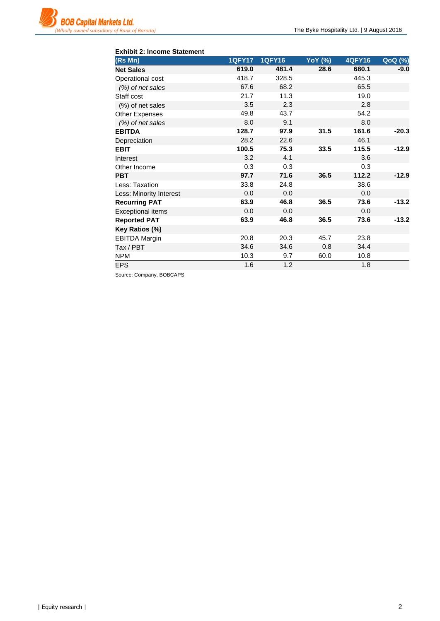| <b>Exhibit 2: Income Statement</b> |               |               |                |               |                |
|------------------------------------|---------------|---------------|----------------|---------------|----------------|
| (Rs Mn)                            | <b>1QFY17</b> | <b>1QFY16</b> | <b>YoY</b> (%) | <b>4QFY16</b> | <b>QoQ</b> (%) |
| <b>Net Sales</b>                   | 619.0         | 481.4         | 28.6           | 680.1         | $-9.0$         |
| Operational cost                   | 418.7         | 328.5         |                | 445.3         |                |
| (%) of net sales                   | 67.6          | 68.2          |                | 65.5          |                |
| Staff cost                         | 21.7          | 11.3          |                | 19.0          |                |
| (%) of net sales                   | 3.5           | 2.3           |                | 2.8           |                |
| <b>Other Expenses</b>              | 49.8          | 43.7          |                | 54.2          |                |
| (%) of net sales                   | 8.0           | 9.1           |                | 8.0           |                |
| <b>EBITDA</b>                      | 128.7         | 97.9          | 31.5           | 161.6         | $-20.3$        |
| Depreciation                       | 28.2          | 22.6          |                | 46.1          |                |
| <b>EBIT</b>                        | 100.5         | 75.3          | 33.5           | 115.5         | $-12.9$        |
| Interest                           | 3.2           | 4.1           |                | 3.6           |                |
| Other Income                       | 0.3           | 0.3           |                | 0.3           |                |
| <b>PBT</b>                         | 97.7          | 71.6          | 36.5           | 112.2         | $-12.9$        |
| Less: Taxation                     | 33.8          | 24.8          |                | 38.6          |                |
| Less: Minority Interest            | 0.0           | 0.0           |                | 0.0           |                |
| <b>Recurring PAT</b>               | 63.9          | 46.8          | 36.5           | 73.6          | $-13.2$        |
| <b>Exceptional items</b>           | 0.0           | 0.0           |                | 0.0           |                |
| <b>Reported PAT</b>                | 63.9          | 46.8          | 36.5           | 73.6          | $-13.2$        |
| Key Ratios (%)                     |               |               |                |               |                |
| <b>EBITDA Margin</b>               | 20.8          | 20.3          | 45.7           | 23.8          |                |
| Tax / PBT                          | 34.6          | 34.6          | 0.8            | 34.4          |                |
| <b>NPM</b>                         | 10.3          | 9.7           | 60.0           | 10.8          |                |
| <b>EPS</b>                         | 1.6           | 1.2           |                | 1.8           |                |

Source: Company, BOBCAPS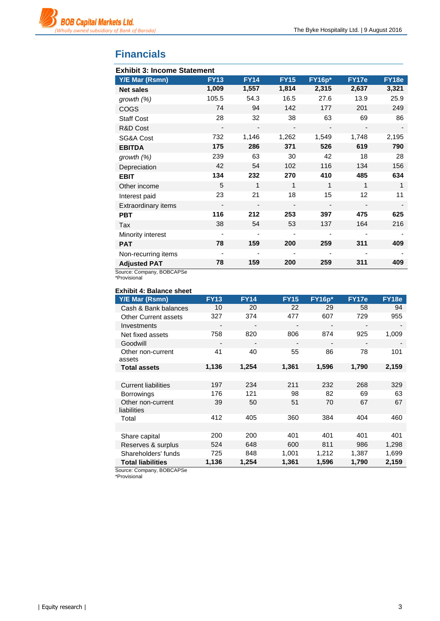

## **Financials**

| <b>Exhibit 3: Income Statement</b> |                |             |                          |                          |                              |       |  |
|------------------------------------|----------------|-------------|--------------------------|--------------------------|------------------------------|-------|--|
| Y/E Mar (Rsmn)                     | <b>FY13</b>    | <b>FY14</b> | <b>FY15</b>              | <b>FY16p*</b>            | FY17e                        | FY18e |  |
| <b>Net sales</b>                   | 1,009          | 1,557       | 1,814                    | 2,315                    | 2,637                        | 3,321 |  |
| growth (%)                         | 105.5          | 54.3        | 16.5                     | 27.6                     | 13.9                         | 25.9  |  |
| <b>COGS</b>                        | 74             | 94          | 142                      | 177                      | 201                          | 249   |  |
| <b>Staff Cost</b>                  | 28             | 32          | 38                       | 63                       | 69                           | 86    |  |
| R&D Cost                           | -              |             |                          | $\overline{\phantom{a}}$ |                              |       |  |
| SG&A Cost                          | 732            | 1,146       | 1,262                    | 1,549                    | 1,748                        | 2,195 |  |
| <b>EBITDA</b>                      | 175            | 286         | 371                      | 526                      | 619                          | 790   |  |
| growth $(%)$                       | 239            | 63          | 30                       | 42                       | 18                           | 28    |  |
| Depreciation                       | 42             | 54          | 102                      | 116                      | 134                          | 156   |  |
| <b>EBIT</b>                        | 134            | 232         | 270                      | 410                      | 485                          | 634   |  |
| Other income                       | 5              | 1           | $\mathbf 1$              | 1                        | 1                            | 1     |  |
| Interest paid                      | 23             | 21          | 18                       | 15                       | 12                           | 11    |  |
| <b>Extraordinary items</b>         | $\overline{a}$ |             | $\overline{\phantom{a}}$ | $\overline{\phantom{a}}$ | $\qquad \qquad \blacksquare$ |       |  |
| <b>PBT</b>                         | 116            | 212         | 253                      | 397                      | 475                          | 625   |  |
| Tax                                | 38             | 54          | 53                       | 137                      | 164                          | 216   |  |
| Minority interest                  | -              |             |                          | ٠                        |                              |       |  |
| <b>PAT</b>                         | 78             | 159         | 200                      | 259                      | 311                          | 409   |  |
| Non-recurring items                |                |             |                          |                          |                              |       |  |
| <b>Adjusted PAT</b>                | 78             | 159         | 200                      | 259                      | 311                          | 409   |  |

Source: Company, BOBCAPSe

\*Provisional

### **Exhibit 4: Balance sheet**

| Y/E Mar (Rsmn)                   | <b>FY13</b> | <b>FY14</b> | <b>FY15</b>              | <b>FY16p*</b> | <b>FY17e</b> | <b>FY18e</b> |
|----------------------------------|-------------|-------------|--------------------------|---------------|--------------|--------------|
| Cash & Bank balances             | 10          | 20          | 22                       | 29            | 58           | 94           |
| <b>Other Current assets</b>      | 327         | 374         | 477                      | 607           | 729          | 955          |
| Investments                      | -           | -           |                          |               | -            |              |
| Net fixed assets                 | 758         | 820         | 806                      | 874           | 925          | 1,009        |
| Goodwill                         | -           |             | $\overline{\phantom{a}}$ |               |              |              |
| Other non-current<br>assets      | 41          | 40          | 55                       | 86            | 78           | 101          |
| <b>Total assets</b>              | 1,136       | 1,254       | 1,361                    | 1,596         | 1,790        | 2,159        |
|                                  |             |             |                          |               |              |              |
| <b>Current liabilities</b>       | 197         | 234         | 211                      | 232           | 268          | 329          |
| <b>Borrowings</b>                | 176         | 121         | 98                       | 82            | 69           | 63           |
| Other non-current<br>liabilities | 39          | 50          | 51                       | 70            | 67           | 67           |
| Total                            | 412         | 405         | 360                      | 384           | 404          | 460          |
|                                  |             |             |                          |               |              |              |
| Share capital                    | 200         | 200         | 401                      | 401           | 401          | 401          |
| Reserves & surplus               | 524         | 648         | 600                      | 811           | 986          | 1,298        |
| Shareholders' funds              | 725         | 848         | 1,001                    | 1,212         | 1,387        | 1,699        |
| <b>Total liabilities</b>         | 1,136       | 1,254       | 1,361                    | 1,596         | 1,790        | 2,159        |

Source: Company, BOBCAPSe

\*Provisional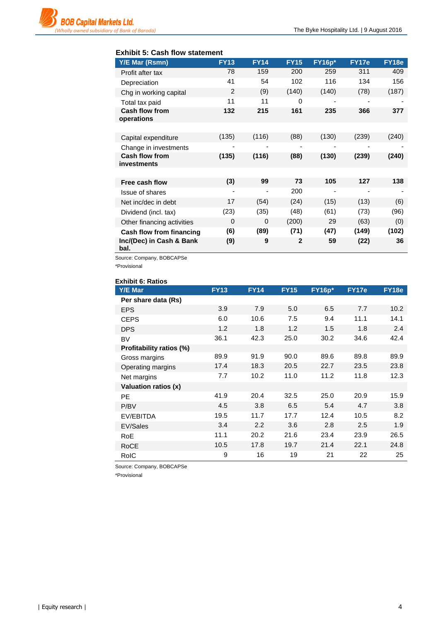### **Exhibit 5: Cash flow statement**

| Y/E Mar (Rsmn)                       | <b>FY13</b> | <b>FY14</b> | <b>FY15</b>              | $FY16p*$                 | FY17e | FY18e |
|--------------------------------------|-------------|-------------|--------------------------|--------------------------|-------|-------|
| Profit after tax                     | 78          | 159         | 200                      | 259                      | 311   | 409   |
| Depreciation                         | 41          | 54          | 102                      | 116                      | 134   | 156   |
| Chg in working capital               | 2           | (9)         | (140)                    | (140)                    | (78)  | (187) |
| Total tax paid                       | 11          | 11          | $\Omega$                 |                          |       |       |
| <b>Cash flow from</b><br>operations  | 132         | 215         | 161                      | 235                      | 366   | 377   |
|                                      |             |             |                          |                          |       |       |
| Capital expenditure                  | (135)       | (116)       | (88)                     | (130)                    | (239) | (240) |
| Change in investments                | -           | ٠           | $\overline{\phantom{0}}$ |                          |       |       |
| <b>Cash flow from</b><br>investments | (135)       | (116)       | (88)                     | (130)                    | (239) | (240) |
|                                      |             |             |                          |                          |       |       |
| Free cash flow                       | (3)         | 99          | 73                       | 105                      | 127   | 138   |
| <b>Issue of shares</b>               | ۰           | ٠           | 200                      | $\overline{\phantom{a}}$ | ٠     |       |
| Net inc/dec in debt                  | 17          | (54)        | (24)                     | (15)                     | (13)  | (6)   |
| Dividend (incl. tax)                 | (23)        | (35)        | (48)                     | (61)                     | (73)  | (96)  |
| Other financing activities           | $\Omega$    | $\Omega$    | (200)                    | 29                       | (63)  | (0)   |
| <b>Cash flow from financing</b>      | (6)         | (89)        | (71)                     | (47)                     | (149) | (102) |
| Inc/(Dec) in Cash & Bank<br>bal.     | (9)         | 9           | $\mathbf{2}$             | 59                       | (22)  | 36    |

Source: Company, BOBCAPSe

\*Provisional

| <b>Exhibit 6: Ratios</b> |             |             |             |               |       |       |
|--------------------------|-------------|-------------|-------------|---------------|-------|-------|
| <b>Y/E Mar</b>           | <b>FY13</b> | <b>FY14</b> | <b>FY15</b> | <b>FY16p*</b> | FY17e | FY18e |
| Per share data (Rs)      |             |             |             |               |       |       |
| <b>EPS</b>               | 3.9         | 7.9         | 5.0         | 6.5           | 7.7   | 10.2  |
| <b>CEPS</b>              | 6.0         | 10.6        | 7.5         | 9.4           | 11.1  | 14.1  |
| <b>DPS</b>               | 1.2         | 1.8         | 1.2         | 1.5           | 1.8   | 2.4   |
| BV                       | 36.1        | 42.3        | 25.0        | 30.2          | 34.6  | 42.4  |
| Profitability ratios (%) |             |             |             |               |       |       |
| Gross margins            | 89.9        | 91.9        | 90.0        | 89.6          | 89.8  | 89.9  |
| Operating margins        | 17.4        | 18.3        | 20.5        | 22.7          | 23.5  | 23.8  |
| Net margins              | 7.7         | 10.2        | 11.0        | 11.2          | 11.8  | 12.3  |
| Valuation ratios (x)     |             |             |             |               |       |       |
| <b>PE</b>                | 41.9        | 20.4        | 32.5        | 25.0          | 20.9  | 15.9  |
| P/BV                     | 4.5         | 3.8         | 6.5         | 5.4           | 4.7   | 3.8   |
| EV/EBITDA                | 19.5        | 11.7        | 17.7        | 12.4          | 10.5  | 8.2   |
| EV/Sales                 | 3.4         | 2.2         | 3.6         | 2.8           | 2.5   | 1.9   |
| RoE                      | 11.1        | 20.2        | 21.6        | 23.4          | 23.9  | 26.5  |
| RoCE                     | 10.5        | 17.8        | 19.7        | 21.4          | 22.1  | 24.8  |
| RoIC                     | 9           | 16          | 19          | 21            | 22    | 25    |

Source: Company, BOBCAPSe

\*Provisional